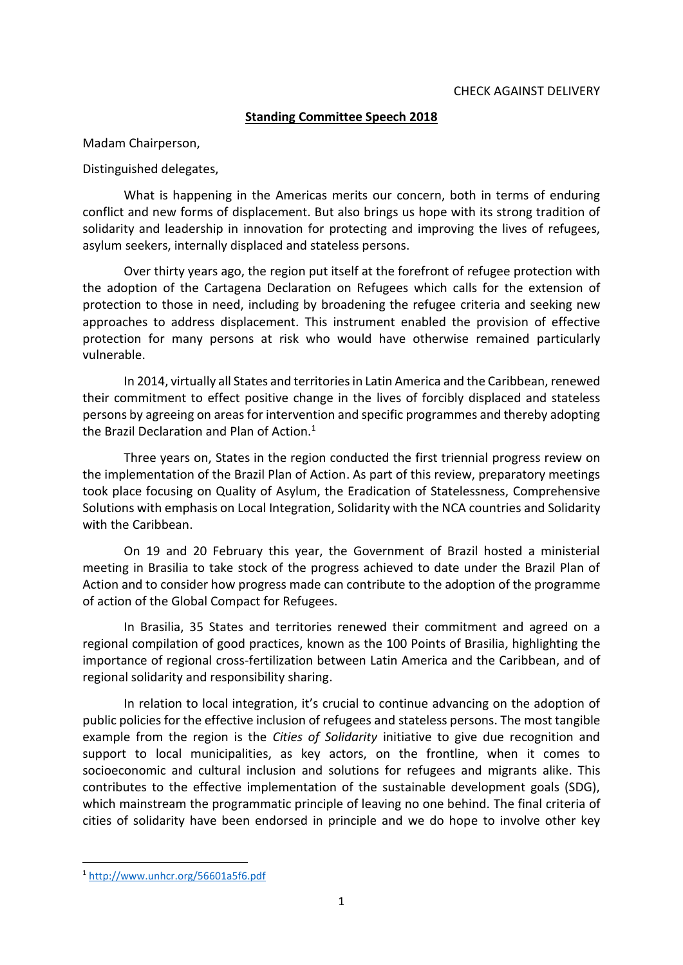# **Standing Committee Speech 2018**

Madam Chairperson,

Distinguished delegates,

What is happening in the Americas merits our concern, both in terms of enduring conflict and new forms of displacement. But also brings us hope with its strong tradition of solidarity and leadership in innovation for protecting and improving the lives of refugees, asylum seekers, internally displaced and stateless persons.

Over thirty years ago, the region put itself at the forefront of refugee protection with the adoption of the Cartagena Declaration on Refugees which calls for the extension of protection to those in need, including by broadening the refugee criteria and seeking new approaches to address displacement. This instrument enabled the provision of effective protection for many persons at risk who would have otherwise remained particularly vulnerable.

In 2014, virtually all States and territories in Latin America and the Caribbean, renewed their commitment to effect positive change in the lives of forcibly displaced and stateless persons by agreeing on areas for intervention and specific programmes and thereby adopting the Brazil Declaration and Plan of Action. $1$ 

Three years on, States in the region conducted the first triennial progress review on the implementation of the Brazil Plan of Action. As part of this review, preparatory meetings took place focusing on Quality of Asylum, the Eradication of Statelessness, Comprehensive Solutions with emphasis on Local Integration, Solidarity with the NCA countries and Solidarity with the Caribbean.

On 19 and 20 February this year, the Government of Brazil hosted a ministerial meeting in Brasilia to take stock of the progress achieved to date under the Brazil Plan of Action and to consider how progress made can contribute to the adoption of the programme of action of the Global Compact for Refugees.

In Brasilia, 35 States and territories renewed their commitment and agreed on a regional compilation of good practices, known as the 100 Points of Brasilia, highlighting the importance of regional cross-fertilization between Latin America and the Caribbean, and of regional solidarity and responsibility sharing.

In relation to local integration, it's crucial to continue advancing on the adoption of public policies for the effective inclusion of refugees and stateless persons. The most tangible example from the region is the *Cities of Solidarity* initiative to give due recognition and support to local municipalities, as key actors, on the frontline, when it comes to socioeconomic and cultural inclusion and solutions for refugees and migrants alike. This contributes to the effective implementation of the sustainable development goals (SDG), which mainstream the programmatic principle of leaving no one behind. The final criteria of cities of solidarity have been endorsed in principle and we do hope to involve other key

**.** 

<sup>1</sup> <http://www.unhcr.org/56601a5f6.pdf>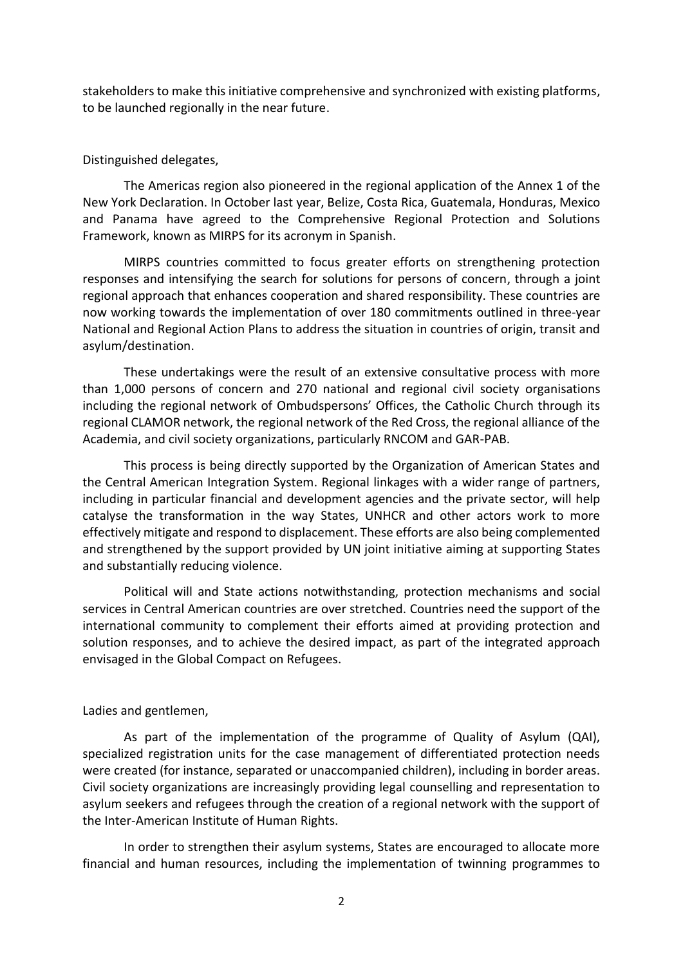stakeholders to make this initiative comprehensive and synchronized with existing platforms, to be launched regionally in the near future.

## Distinguished delegates,

The Americas region also pioneered in the regional application of the Annex 1 of the New York Declaration. In October last year, Belize, Costa Rica, Guatemala, Honduras, Mexico and Panama have agreed to the Comprehensive Regional Protection and Solutions Framework, known as MIRPS for its acronym in Spanish.

MIRPS countries committed to focus greater efforts on strengthening protection responses and intensifying the search for solutions for persons of concern, through a joint regional approach that enhances cooperation and shared responsibility. These countries are now working towards the implementation of over 180 commitments outlined in three-year National and Regional Action Plans to address the situation in countries of origin, transit and asylum/destination.

These undertakings were the result of an extensive consultative process with more than 1,000 persons of concern and 270 national and regional civil society organisations including the regional network of Ombudspersons' Offices, the Catholic Church through its regional CLAMOR network, the regional network of the Red Cross, the regional alliance of the Academia, and civil society organizations, particularly RNCOM and GAR-PAB.

This process is being directly supported by the Organization of American States and the Central American Integration System. Regional linkages with a wider range of partners, including in particular financial and development agencies and the private sector, will help catalyse the transformation in the way States, UNHCR and other actors work to more effectively mitigate and respond to displacement. These efforts are also being complemented and strengthened by the support provided by UN joint initiative aiming at supporting States and substantially reducing violence.

Political will and State actions notwithstanding, protection mechanisms and social services in Central American countries are over stretched. Countries need the support of the international community to complement their efforts aimed at providing protection and solution responses, and to achieve the desired impact, as part of the integrated approach envisaged in the Global Compact on Refugees.

### Ladies and gentlemen,

As part of the implementation of the programme of Quality of Asylum (QAI), specialized registration units for the case management of differentiated protection needs were created (for instance, separated or unaccompanied children), including in border areas. Civil society organizations are increasingly providing legal counselling and representation to asylum seekers and refugees through the creation of a regional network with the support of the Inter-American Institute of Human Rights.

In order to strengthen their asylum systems, States are encouraged to allocate more financial and human resources, including the implementation of twinning programmes to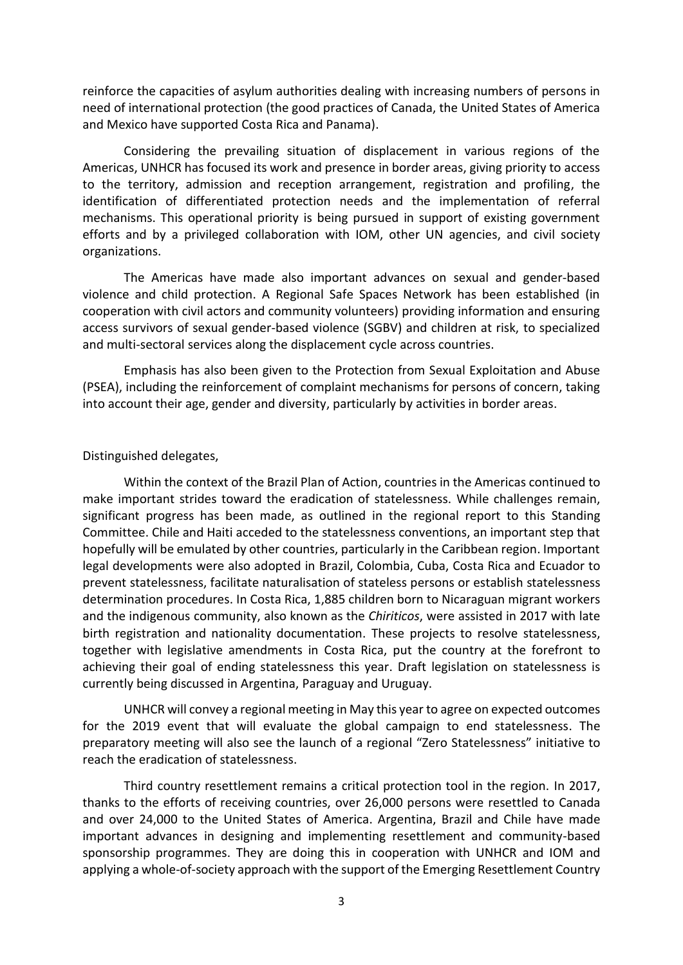reinforce the capacities of asylum authorities dealing with increasing numbers of persons in need of international protection (the good practices of Canada, the United States of America and Mexico have supported Costa Rica and Panama).

Considering the prevailing situation of displacement in various regions of the Americas, UNHCR has focused its work and presence in border areas, giving priority to access to the territory, admission and reception arrangement, registration and profiling, the identification of differentiated protection needs and the implementation of referral mechanisms. This operational priority is being pursued in support of existing government efforts and by a privileged collaboration with IOM, other UN agencies, and civil society organizations.

The Americas have made also important advances on sexual and gender-based violence and child protection. A Regional Safe Spaces Network has been established (in cooperation with civil actors and community volunteers) providing information and ensuring access survivors of sexual gender-based violence (SGBV) and children at risk, to specialized and multi-sectoral services along the displacement cycle across countries.

Emphasis has also been given to the Protection from Sexual Exploitation and Abuse (PSEA), including the reinforcement of complaint mechanisms for persons of concern, taking into account their age, gender and diversity, particularly by activities in border areas.

#### Distinguished delegates,

Within the context of the Brazil Plan of Action, countries in the Americas continued to make important strides toward the eradication of statelessness. While challenges remain, significant progress has been made, as outlined in the regional report to this Standing Committee. Chile and Haiti acceded to the statelessness conventions, an important step that hopefully will be emulated by other countries, particularly in the Caribbean region. Important legal developments were also adopted in Brazil, Colombia, Cuba, Costa Rica and Ecuador to prevent statelessness, facilitate naturalisation of stateless persons or establish statelessness determination procedures. In Costa Rica, 1,885 children born to Nicaraguan migrant workers and the indigenous community, also known as the *Chiriticos*, were assisted in 2017 with late birth registration and nationality documentation. These projects to resolve statelessness, together with legislative amendments in Costa Rica, put the country at the forefront to achieving their goal of ending statelessness this year. Draft legislation on statelessness is currently being discussed in Argentina, Paraguay and Uruguay.

UNHCR will convey a regional meeting in May this year to agree on expected outcomes for the 2019 event that will evaluate the global campaign to end statelessness. The preparatory meeting will also see the launch of a regional "Zero Statelessness" initiative to reach the eradication of statelessness.

Third country resettlement remains a critical protection tool in the region. In 2017, thanks to the efforts of receiving countries, over 26,000 persons were resettled to Canada and over 24,000 to the United States of America. Argentina, Brazil and Chile have made important advances in designing and implementing resettlement and community-based sponsorship programmes. They are doing this in cooperation with UNHCR and IOM and applying a whole-of-society approach with the support of the Emerging Resettlement Country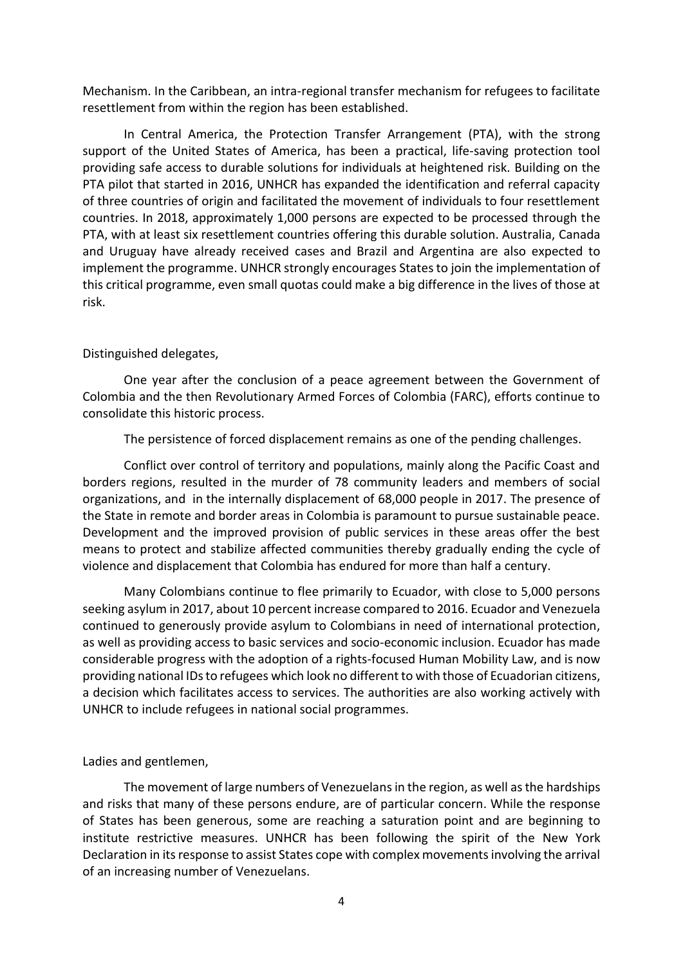Mechanism. In the Caribbean, an intra-regional transfer mechanism for refugees to facilitate resettlement from within the region has been established.

In Central America, the Protection Transfer Arrangement (PTA), with the strong support of the United States of America, has been a practical, life-saving protection tool providing safe access to durable solutions for individuals at heightened risk. Building on the PTA pilot that started in 2016, UNHCR has expanded the identification and referral capacity of three countries of origin and facilitated the movement of individuals to four resettlement countries. In 2018, approximately 1,000 persons are expected to be processed through the PTA, with at least six resettlement countries offering this durable solution. Australia, Canada and Uruguay have already received cases and Brazil and Argentina are also expected to implement the programme. UNHCR strongly encourages States to join the implementation of this critical programme, even small quotas could make a big difference in the lives of those at risk.

## Distinguished delegates,

One year after the conclusion of a peace agreement between the Government of Colombia and the then Revolutionary Armed Forces of Colombia (FARC), efforts continue to consolidate this historic process.

The persistence of forced displacement remains as one of the pending challenges.

Conflict over control of territory and populations, mainly along the Pacific Coast and borders regions, resulted in the murder of 78 community leaders and members of social organizations, and in the internally displacement of 68,000 people in 2017. The presence of the State in remote and border areas in Colombia is paramount to pursue sustainable peace. Development and the improved provision of public services in these areas offer the best means to protect and stabilize affected communities thereby gradually ending the cycle of violence and displacement that Colombia has endured for more than half a century.

Many Colombians continue to flee primarily to Ecuador, with close to 5,000 persons seeking asylum in 2017, about 10 percent increase compared to 2016. Ecuador and Venezuela continued to generously provide asylum to Colombians in need of international protection, as well as providing access to basic services and socio-economic inclusion. Ecuador has made considerable progress with the adoption of a rights-focused Human Mobility Law, and is now providing national IDs to refugees which look no different to with those of Ecuadorian citizens, a decision which facilitates access to services. The authorities are also working actively with UNHCR to include refugees in national social programmes.

Ladies and gentlemen,

The movement of large numbers of Venezuelans in the region, as well as the hardships and risks that many of these persons endure, are of particular concern. While the response of States has been generous, some are reaching a saturation point and are beginning to institute restrictive measures. UNHCR has been following the spirit of the New York Declaration in its response to assist States cope with complex movements involving the arrival of an increasing number of Venezuelans.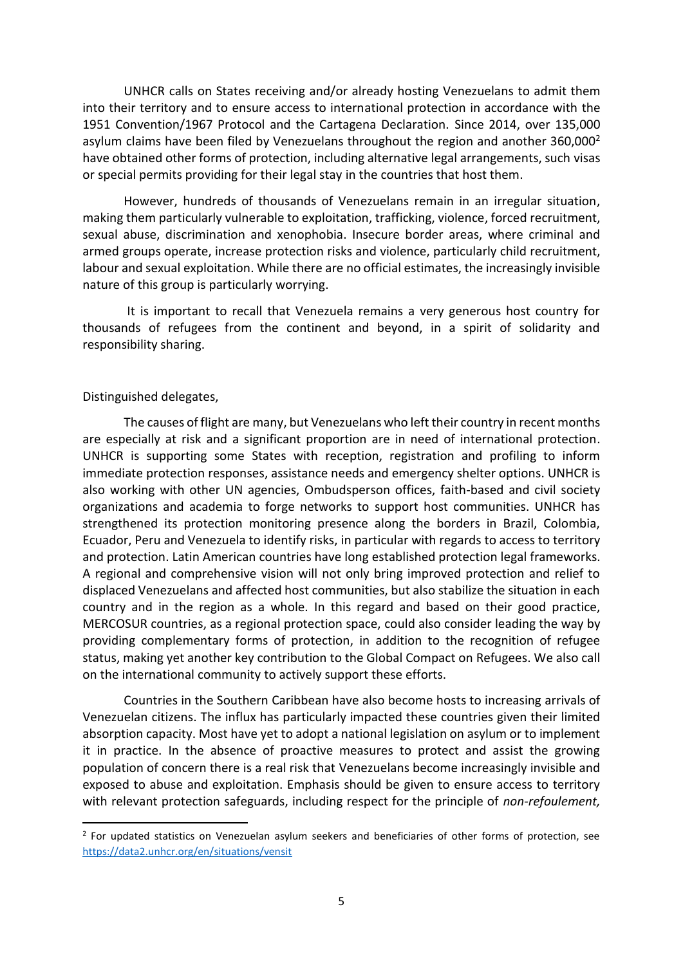UNHCR calls on States receiving and/or already hosting Venezuelans to admit them into their territory and to ensure access to international protection in accordance with the 1951 Convention/1967 Protocol and the Cartagena Declaration. Since 2014, over 135,000 asylum claims have been filed by Venezuelans throughout the region and another  $360,000^2$ have obtained other forms of protection, including alternative legal arrangements, such visas or special permits providing for their legal stay in the countries that host them.

However, hundreds of thousands of Venezuelans remain in an irregular situation, making them particularly vulnerable to exploitation, trafficking, violence, forced recruitment, sexual abuse, discrimination and xenophobia. Insecure border areas, where criminal and armed groups operate, increase protection risks and violence, particularly child recruitment, labour and sexual exploitation. While there are no official estimates, the increasingly invisible nature of this group is particularly worrying.

It is important to recall that Venezuela remains a very generous host country for thousands of refugees from the continent and beyond, in a spirit of solidarity and responsibility sharing.

## Distinguished delegates,

1

The causes of flight are many, but Venezuelans who left their country in recent months are especially at risk and a significant proportion are in need of international protection. UNHCR is supporting some States with reception, registration and profiling to inform immediate protection responses, assistance needs and emergency shelter options. UNHCR is also working with other UN agencies, Ombudsperson offices, faith-based and civil society organizations and academia to forge networks to support host communities. UNHCR has strengthened its protection monitoring presence along the borders in Brazil, Colombia, Ecuador, Peru and Venezuela to identify risks, in particular with regards to access to territory and protection. Latin American countries have long established protection legal frameworks. A regional and comprehensive vision will not only bring improved protection and relief to displaced Venezuelans and affected host communities, but also stabilize the situation in each country and in the region as a whole. In this regard and based on their good practice, MERCOSUR countries, as a regional protection space, could also consider leading the way by providing complementary forms of protection, in addition to the recognition of refugee status, making yet another key contribution to the Global Compact on Refugees. We also call on the international community to actively support these efforts.

Countries in the Southern Caribbean have also become hosts to increasing arrivals of Venezuelan citizens. The influx has particularly impacted these countries given their limited absorption capacity. Most have yet to adopt a national legislation on asylum or to implement it in practice. In the absence of proactive measures to protect and assist the growing population of concern there is a real risk that Venezuelans become increasingly invisible and exposed to abuse and exploitation. Emphasis should be given to ensure access to territory with relevant protection safeguards, including respect for the principle of *non-refoulement,* 

<sup>&</sup>lt;sup>2</sup> For updated statistics on Venezuelan asylum seekers and beneficiaries of other forms of protection, see <https://data2.unhcr.org/en/situations/vensit>